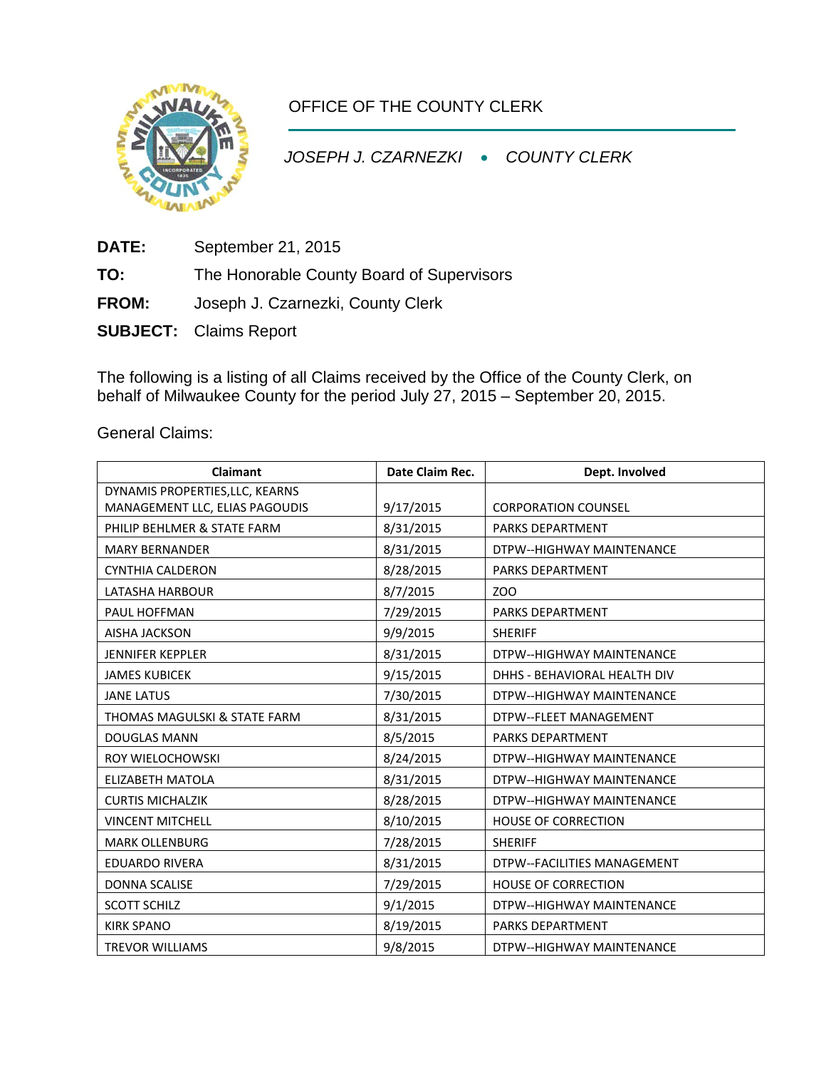

OFFICE OF THE COUNTY CLERK

*JOSEPH J. CZARNEZKI* • *COUNTY CLERK*

**DATE:** September 21, 2015

**TO:** The Honorable County Board of Supervisors

**FROM:** Joseph J. Czarnezki, County Clerk

**SUBJECT:** Claims Report

The following is a listing of all Claims received by the Office of the County Clerk, on behalf of Milwaukee County for the period July 27, 2015 – September 20, 2015.

General Claims:

| <b>Claimant</b>                 | Date Claim Rec. | Dept. Involved               |  |
|---------------------------------|-----------------|------------------------------|--|
| DYNAMIS PROPERTIES, LLC, KEARNS |                 |                              |  |
| MANAGEMENT LLC, ELIAS PAGOUDIS  | 9/17/2015       | <b>CORPORATION COUNSEL</b>   |  |
| PHILIP BEHLMER & STATE FARM     | 8/31/2015       | <b>PARKS DEPARTMENT</b>      |  |
| <b>MARY BERNANDER</b>           | 8/31/2015       | DTPW--HIGHWAY MAINTENANCE    |  |
| <b>CYNTHIA CALDERON</b>         | 8/28/2015       | <b>PARKS DEPARTMENT</b>      |  |
| LATASHA HARBOUR                 | 8/7/2015        | ZOO                          |  |
| PAUL HOFFMAN                    | 7/29/2015       | <b>PARKS DEPARTMENT</b>      |  |
| <b>AISHA JACKSON</b>            | 9/9/2015        | <b>SHERIFF</b>               |  |
| <b>JENNIFER KEPPLER</b>         | 8/31/2015       | DTPW--HIGHWAY MAINTENANCE    |  |
| <b>JAMES KUBICEK</b>            | 9/15/2015       | DHHS - BEHAVIORAL HEALTH DIV |  |
| <b>JANE LATUS</b>               | 7/30/2015       | DTPW--HIGHWAY MAINTENANCE    |  |
| THOMAS MAGULSKI & STATE FARM    | 8/31/2015       | DTPW--FLEET MANAGEMENT       |  |
| <b>DOUGLAS MANN</b>             | 8/5/2015        | <b>PARKS DEPARTMENT</b>      |  |
| ROY WIELOCHOWSKI                | 8/24/2015       | DTPW--HIGHWAY MAINTENANCE    |  |
| <b>ELIZABETH MATOLA</b>         | 8/31/2015       | DTPW--HIGHWAY MAINTENANCE    |  |
| <b>CURTIS MICHALZIK</b>         | 8/28/2015       | DTPW--HIGHWAY MAINTENANCE    |  |
| <b>VINCENT MITCHELL</b>         | 8/10/2015       | <b>HOUSE OF CORRECTION</b>   |  |
| <b>MARK OLLENBURG</b>           | 7/28/2015       | <b>SHERIFF</b>               |  |
| <b>EDUARDO RIVERA</b>           | 8/31/2015       | DTPW--FACILITIES MANAGEMENT  |  |
| <b>DONNA SCALISE</b>            | 7/29/2015       | <b>HOUSE OF CORRECTION</b>   |  |
| <b>SCOTT SCHILZ</b>             | 9/1/2015        | DTPW--HIGHWAY MAINTENANCE    |  |
| <b>KIRK SPANO</b>               | 8/19/2015       | PARKS DEPARTMENT             |  |
| <b>TREVOR WILLIAMS</b>          | 9/8/2015        | DTPW--HIGHWAY MAINTENANCE    |  |